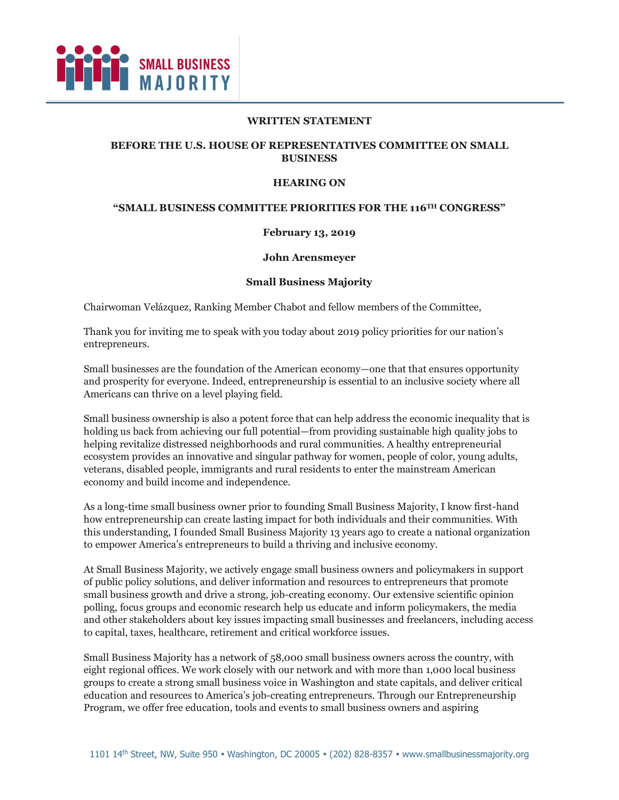

#### **WRITTEN STATEMENT**

### **BEFORE THE U.S. HOUSE OF REPRESENTATIVES COMMITTEE ON SMALL BUSINESS**

#### **HEARING ON**

#### **"SMALL BUSINESS COMMITTEE PRIORITIES FOR THE 116TH CONGRESS"**

### **February 13, 2019**

#### **John Arensmeyer**

#### **Small Business Majority**

Chairwoman Velázquez, Ranking Member Chabot and fellow members of the Committee,

Thank you for inviting me to speak with you today about 2019 policy priorities for our nation's entrepreneurs.

Small businesses are the foundation of the American economy—one that that ensures opportunity and prosperity for everyone. Indeed, entrepreneurship is essential to an inclusive society where all Americans can thrive on a level playing field.

Small business ownership is also a potent force that can help address the economic inequality that is holding us back from achieving our full potential—from providing sustainable high quality jobs to helping revitalize distressed neighborhoods and rural communities. A healthy entrepreneurial ecosystem provides an innovative and singular pathway for women, people of color, young adults, veterans, disabled people, immigrants and rural residents to enter the mainstream American economy and build income and independence.

As a long-time small business owner prior to founding Small Business Majority, I know first-hand how entrepreneurship can create lasting impact for both individuals and their communities. With this understanding, I founded Small Business Majority 13 years ago to create a national organization to empower America's entrepreneurs to build a thriving and inclusive economy.

At Small Business Majority, we actively engage small business owners and policymakers in support of public policy solutions, and deliver information and resources to entrepreneurs that promote small business growth and drive a strong, job-creating economy. Our extensive scientific opinion polling, focus groups and economic research help us educate and inform policymakers, the media and other stakeholders about key issues impacting small businesses and freelancers, including access to capital, taxes, healthcare, retirement and critical workforce issues.

Small Business Majority has a network of 58,000 small business owners across the country, with eight regional offices. We work closely with our network and with more than 1,000 local business groups to create a strong small business voice in Washington and state capitals, and deliver critical education and resources to America's job-creating entrepreneurs. Through our Entrepreneurship Program, we offer free education, tools and events to small business owners and aspiring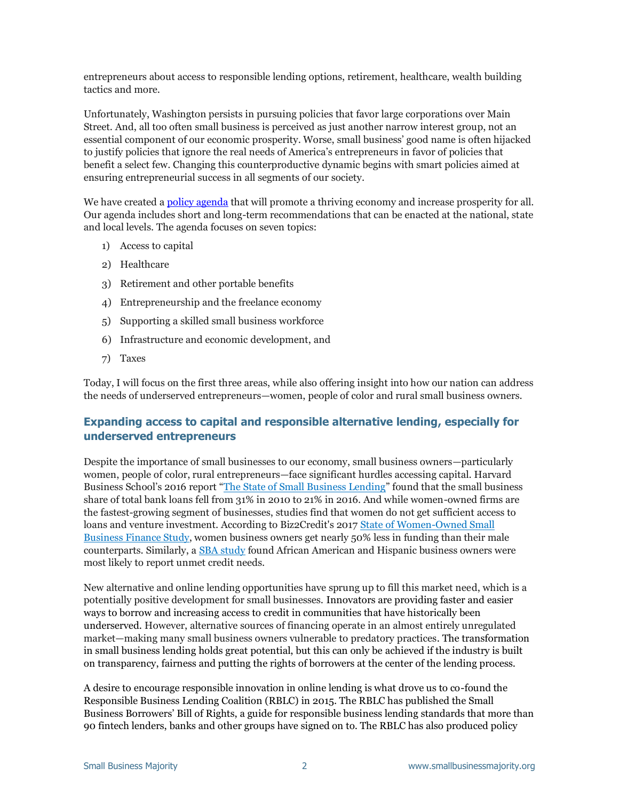entrepreneurs about access to responsible lending options, retirement, healthcare, wealth building tactics and more.

Unfortunately, Washington persists in pursuing policies that favor large corporations over Main Street. And, all too often small business is perceived as just another narrow interest group, not an essential component of our economic prosperity. Worse, small business' good name is often hijacked to justify policies that ignore the real needs of America's entrepreneurs in favor of policies that benefit a select few. Changing this counterproductive dynamic begins with smart policies aimed at ensuring entrepreneurial success in all segments of our society.

We have created a [policy agenda](https://smallbusinessmajority.org/policy-agenda) that will promote a thriving economy and increase prosperity for all. Our agenda includes short and long-term recommendations that can be enacted at the national, state and local levels. The agenda focuses on seven topics:

- 1) Access to capital
- 2) Healthcare
- 3) Retirement and other portable benefits
- 4) Entrepreneurship and the freelance economy
- 5) Supporting a skilled small business workforce
- 6) Infrastructure and economic development, and
- 7) Taxes

Today, I will focus on the first three areas, while also offering insight into how our nation can address the needs of underserved entrepreneurs—women, people of color and rural small business owners.

# **Expanding access to capital and responsible alternative lending, especially for underserved entrepreneurs**

Despite the importance of small businesses to our economy, small business owners—particularly women, people of color, rural entrepreneurs—face significant hurdles accessing capital. Harvard Business School's 2016 report "[The State of Small Business Lending](http://www.hbs.edu/faculty/Publication%20Files/17-042_30393d52-3c61-41cb-a78a-ebbe3e040e55.pdf)" found that the small business share of total bank loans fell from 31% in 2010 to 21% in 2016. And while women-owned firms are the fastest-growing segment of businesses, studies find that women do not get sufficient access to loans and venture investment. According to Biz2Credit's 2017 [State of Women-Owned Small](https://www.biz2credit.com/research-reports/women-owned-business-study-2017)  [Business Finance Study,](https://www.biz2credit.com/research-reports/women-owned-business-study-2017) women business owners get nearly 50% less in funding than their male counterparts. Similarly, a [SBA study](https://www.sba.gov/sites/default/files/rs440_financing_patterns_report_1.pdf) found African American and Hispanic business owners were most likely to report unmet credit needs.

New alternative and online lending opportunities have sprung up to fill this market need, which is a potentially positive development for small businesses. Innovators are providing faster and easier ways to borrow and increasing access to credit in communities that have historically been underserved. However, alternative sources of financing operate in an almost entirely unregulated market—making many small business owners vulnerable to predatory practices. The transformation in small business lending holds great potential, but this can only be achieved if the industry is built on transparency, fairness and putting the rights of borrowers at the center of the lending process.

A desire to encourage responsible innovation in online lending is what drove us to co-found the Responsible Business Lending Coalition (RBLC) in 2015. The RBLC has published the Small Business Borrowers' Bill of Rights, a guide for responsible business lending standards that more than 90 fintech lenders, banks and other groups have signed on to. The RBLC has also produced policy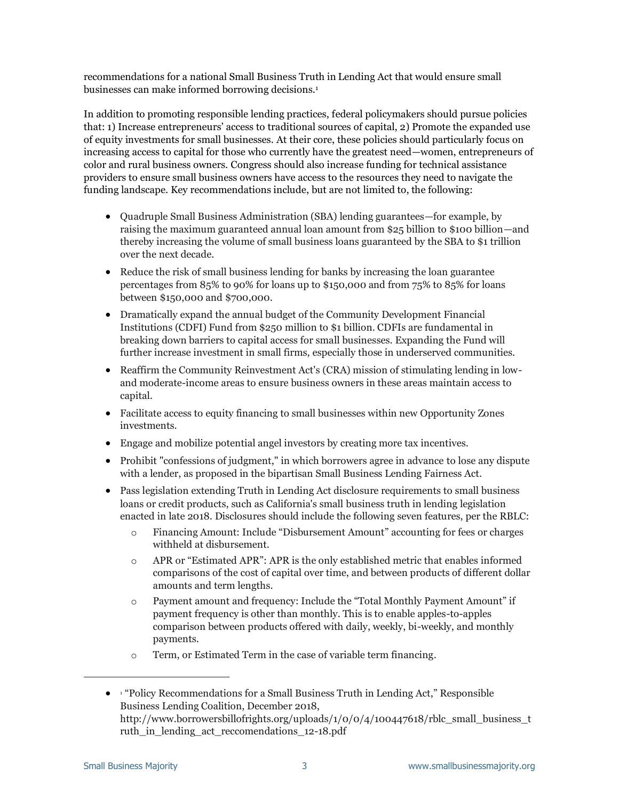recommendations for a national Small Business Truth in Lending Act that would ensure small businesses can make informed borrowing decisions.<sup>1</sup>

In addition to promoting responsible lending practices, federal policymakers should pursue policies that: 1) Increase entrepreneurs' access to traditional sources of capital, 2) Promote the expanded use of equity investments for small businesses. At their core, these policies should particularly focus on increasing access to capital for those who currently have the greatest need—women, entrepreneurs of color and rural business owners. Congress should also increase funding for technical assistance providers to ensure small business owners have access to the resources they need to navigate the funding landscape. Key recommendations include, but are not limited to, the following:

- Quadruple Small Business Administration (SBA) lending guarantees—for example, by raising the maximum guaranteed annual loan amount from \$25 billion to \$100 billion—and thereby increasing the volume of small business loans guaranteed by the SBA to \$1 trillion over the next decade.
- Reduce the risk of small business lending for banks by increasing the loan guarantee percentages from 85% to 90% for loans up to \$150,000 and from 75% to 85% for loans between \$150,000 and \$700,000.
- Dramatically expand the annual budget of the Community Development Financial Institutions (CDFI) Fund from \$250 million to \$1 billion. CDFIs are fundamental in breaking down barriers to capital access for small businesses. Expanding the Fund will further increase investment in small firms, especially those in underserved communities.
- Reaffirm the Community Reinvestment Act's (CRA) mission of stimulating lending in lowand moderate-income areas to ensure business owners in these areas maintain access to capital.
- Facilitate access to equity financing to small businesses within new Opportunity Zones investments.
- Engage and mobilize potential angel investors by creating more tax incentives.
- Prohibit "confessions of judgment," in which borrowers agree in advance to lose any dispute with a lender, as proposed in the bipartisan Small Business Lending Fairness Act.
- Pass legislation extending Truth in Lending Act disclosure requirements to small business loans or credit products, such as California's small business truth in lending legislation enacted in late 2018. Disclosures should include the following seven features, per the RBLC:
	- o Financing Amount: Include "Disbursement Amount" accounting for fees or charges withheld at disbursement.
	- o APR or "Estimated APR": APR is the only established metric that enables informed comparisons of the cost of capital over time, and between products of different dollar amounts and term lengths.
	- o Payment amount and frequency: Include the "Total Monthly Payment Amount" if payment frequency is other than monthly. This is to enable apples-to-apples comparison between products offered with daily, weekly, bi-weekly, and monthly payments.
	- o Term, or Estimated Term in the case of variable term financing.

ł

<sup>• &</sup>lt;sup>1</sup> "Policy Recommendations for a Small Business Truth in Lending Act," Responsible Business Lending Coalition, December 2018, http://www.borrowersbillofrights.org/uploads/1/0/0/4/100447618/rblc\_small\_business\_t ruth in lending act reccomendations 12-18.pdf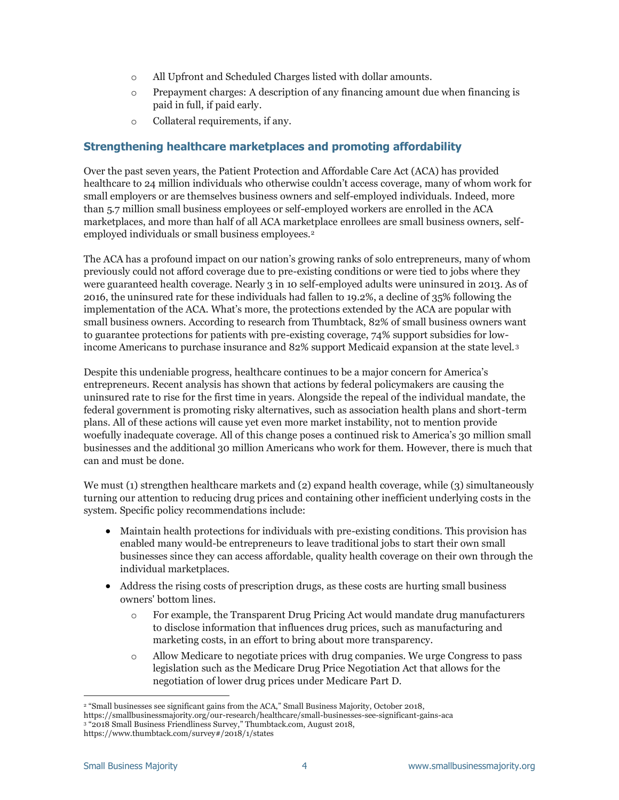- o All Upfront and Scheduled Charges listed with dollar amounts.
- o Prepayment charges: A description of any financing amount due when financing is paid in full, if paid early.
- o Collateral requirements, if any.

# **Strengthening healthcare marketplaces and promoting affordability**

Over the past seven years, the Patient Protection and Affordable Care Act (ACA) has provided healthcare to 24 million individuals who otherwise couldn't access coverage, many of whom work for small employers or are themselves business owners and self-employed individuals. Indeed, more than 5.7 million small business employees or self-employed workers are enrolled in the ACA marketplaces, and more than half of all ACA marketplace enrollees are small business owners, selfemployed individuals or small business employees.<sup>2</sup>

The ACA has a profound impact on our nation's growing ranks of solo entrepreneurs, many of whom previously could not afford coverage due to pre-existing conditions or were tied to jobs where they were guaranteed health coverage. Nearly 3 in 10 self-employed adults were uninsured in 2013. As of 2016, the uninsured rate for these individuals had fallen to 19.2%, a decline of 35% following the implementation of the ACA. What's more, the protections extended by the ACA are popular with small business owners. According to research from Thumbtack, 82% of small business owners want to guarantee protections for patients with pre-existing coverage, 74% support subsidies for lowincome Americans to purchase insurance and 82% support Medicaid expansion at the state level. <sup>3</sup>

Despite this undeniable progress, healthcare continues to be a major concern for America's entrepreneurs. Recent analysis has shown that actions by federal policymakers are causing the uninsured rate to rise for the first time in years. Alongside the repeal of the individual mandate, the federal government is promoting risky alternatives, such as association health plans and short-term plans. All of these actions will cause yet even more market instability, not to mention provide woefully inadequate coverage. All of this change poses a continued risk to America's 30 million small businesses and the additional 30 million Americans who work for them. However, there is much that can and must be done.

We must (1) strengthen healthcare markets and  $(2)$  expand health coverage, while  $(3)$  simultaneously turning our attention to reducing drug prices and containing other inefficient underlying costs in the system. Specific policy recommendations include:

- Maintain health protections for individuals with pre-existing conditions. This provision has enabled many would-be entrepreneurs to leave traditional jobs to start their own small businesses since they can access affordable, quality health coverage on their own through the individual marketplaces.
- Address the rising costs of prescription drugs, as these costs are [hurting small business](https://smallbusinessmajority.org/press-release/scientific-opinion-poll-small-business-owners-say-drug-prices-are-impacting-their-bottom-lines)  [owners' bottom lines.](https://smallbusinessmajority.org/press-release/scientific-opinion-poll-small-business-owners-say-drug-prices-are-impacting-their-bottom-lines)
	- o For example, the Transparent Drug Pricing Act would mandate drug manufacturers to disclose information that influences drug prices, such as manufacturing and marketing costs, in an effort to bring about more transparency.
	- o Allow Medicare to negotiate prices with drug companies. We urge Congress to pass legislation such as the Medicare Drug Price Negotiation Act that allows for the negotiation of lower drug prices under Medicare Part D.

i, <sup>2</sup> "Small businesses see significant gains from the ACA," Small Business Majority, October 2018,

https://smallbusinessmajority.org/our-research/healthcare/small-businesses-see-significant-gains-aca

<sup>3</sup> "2018 Small Business Friendliness Survey," Thumbtack.com, August 2018,

https://www.thumbtack.com/survey#/2018/1/states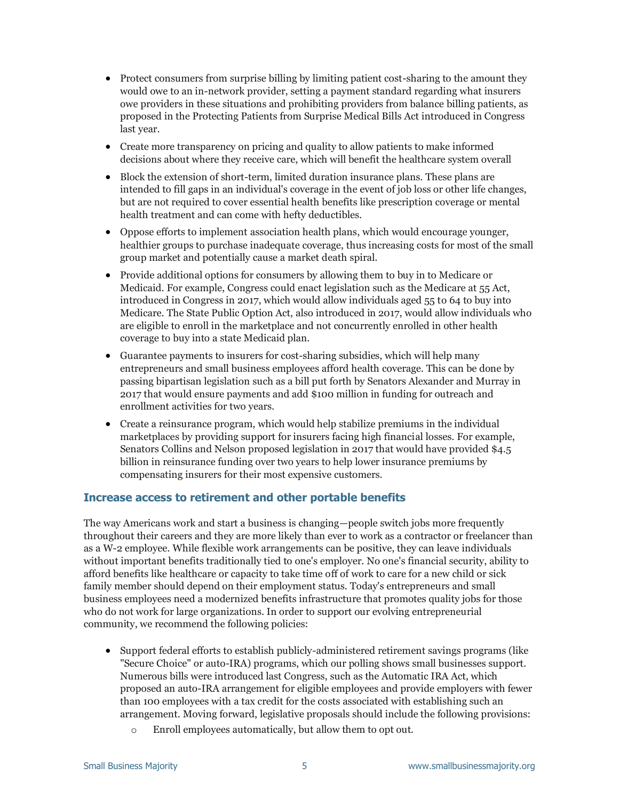- Protect consumers from surprise billing by limiting patient cost-sharing to the amount they would owe to an in-network provider, setting a payment standard regarding what insurers owe providers in these situations and prohibiting providers from balance billing patients, as proposed in the Protecting Patients from Surprise Medical Bills Act introduced in Congress last year.
- Create more transparency on pricing and quality to allow patients to make informed decisions about where they receive care, which will benefit the healthcare system overall
- Block the extension of short-term, limited duration insurance plans. These plans are intended to fill gaps in an individual's coverage in the event of job loss or other life changes, but are not required to cover essential health benefits like prescription coverage or mental health treatment and can come with hefty deductibles.
- Oppose efforts to implement association health plans, which would encourage younger, healthier groups to purchase inadequate coverage, thus increasing costs for most of the small group market and potentially cause a market death spiral.
- Provide additional options for consumers by allowing them to buy in to Medicare or Medicaid. For example, Congress could enact legislation such as the Medicare at 55 Act, introduced in Congress in 2017, which would allow individuals aged 55 to 64 to buy into Medicare. The State Public Option Act, also introduced in 2017, would allow individuals who are eligible to enroll in the marketplace and not concurrently enrolled in other health coverage to buy into a state Medicaid plan.
- Guarantee payments to insurers for cost-sharing subsidies, which will help many entrepreneurs and small business employees afford health coverage. This can be done by passing bipartisan legislation such as a bill put forth by Senators Alexander and Murray in 2017 that would ensure payments and add \$100 million in funding for outreach and enrollment activities for two years.
- Create a reinsurance program, which would help stabilize premiums in the individual marketplaces by providing support for insurers facing high financial losses. For example, Senators Collins and Nelson proposed legislation in 2017 that would have provided \$4.5 billion in reinsurance funding over two years to help lower insurance premiums by compensating insurers for their most expensive customers.

# **Increase access to retirement and other portable benefits**

The way Americans work and start a business is changing—people switch jobs more frequently throughout their careers and they are more likely than ever to work as a contractor or freelancer than as a W-2 employee. While flexible work arrangements can be positive, they can leave individuals without important benefits traditionally tied to one's employer. No one's financial security, ability to afford benefits like healthcare or capacity to take time off of work to care for a new child or sick family member should depend on their employment status. Today's entrepreneurs and small business employees need a modernized benefits infrastructure that promotes quality jobs for those who do not work for large organizations. In order to support our evolving entrepreneurial community, we recommend the following policies:

- Support federal efforts to establish publicly-administered retirement savings programs (like "Secure Choice" or auto-IRA) programs, which our polling shows small businesses support. Numerous bills were introduced last Congress, such as the Automatic IRA Act, which proposed an auto-IRA arrangement for eligible employees and provide employers with fewer than 100 employees with a tax credit for the costs associated with establishing such an arrangement. Moving forward, legislative proposals should include the following provisions:
	- o Enroll employees automatically, but allow them to opt out.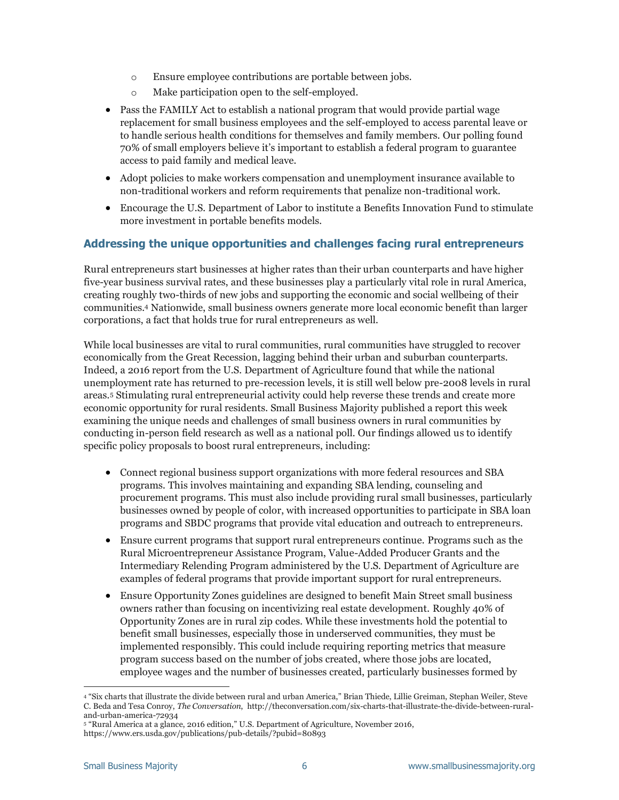- o Ensure employee contributions are portable between jobs.
- o Make participation open to the self-employed.
- Pass the FAMILY Act to establish a national program that would provide partial wage replacement for small business employees and the self-employed to access parental leave or to handle serious health conditions for themselves and family members. Our polling found 70% of small employers believe it's important to establish a federal program to guarantee access to paid family and medical leave.
- Adopt policies to make workers compensation and unemployment insurance available to non-traditional workers and reform requirements that penalize non-traditional work.
- Encourage the U.S. Department of Labor to institute a Benefits Innovation Fund to stimulate more investment in portable benefits models.

## **Addressing the unique opportunities and challenges facing rural entrepreneurs**

Rural entrepreneurs start businesses at higher rates than their urban counterparts and have higher five-year business survival rates, and these businesses play a particularly vital role in rural America, creating roughly two-thirds of new jobs and supporting the economic and social wellbeing of their communities.<sup>4</sup> Nationwide, small business owners generate more local economic benefit than larger corporations, a fact that holds true for rural entrepreneurs as well.

While local businesses are vital to rural communities, rural communities have struggled to recover economically from the Great Recession, lagging behind their urban and suburban counterparts. Indeed, a 2016 report from the U.S. Department of Agriculture found that while the national unemployment rate has returned to pre-recession levels, it is still well below pre-2008 levels in rural areas.<sup>5</sup> Stimulating rural entrepreneurial activity could help reverse these trends and create more economic opportunity for rural residents. Small Business Majority published a report this week examining the unique needs and challenges of small business owners in rural communities by conducting in-person field research as well as a national poll. Our findings allowed us to identify specific policy proposals to boost rural entrepreneurs, including:

- Connect regional business support organizations with more federal resources and SBA programs. This involves maintaining and expanding SBA lending, counseling and procurement programs. This must also include providing rural small businesses, particularly businesses owned by people of color, with increased opportunities to participate in SBA loan programs and SBDC programs that provide vital education and outreach to entrepreneurs.
- Ensure current programs that support rural entrepreneurs continue. Programs such as the Rural Microentrepreneur Assistance Program, Value-Added Producer Grants and the Intermediary Relending Program administered by the U.S. Department of Agriculture are examples of federal programs that provide important support for rural entrepreneurs.
- Ensure Opportunity Zones guidelines are designed to benefit Main Street small business owners rather than focusing on incentivizing real estate development. Roughly 40% of Opportunity Zones are in rural zip codes. While these investments hold the potential to benefit small businesses, especially those in underserved communities, they must be implemented responsibly. This could include requiring reporting metrics that measure program success based on the number of jobs created, where those jobs are located, employee wages and the number of businesses created, particularly businesses formed by

i,

<sup>4</sup> "Six charts that illustrate the divide between rural and urban America," Brian Thiede, Lillie Greiman, Stephan Weiler, Steve C. Beda and Tesa Conroy, *The Conversation*, http://theconversation.com/six-charts-that-illustrate-the-divide-between-ruraland-urban-america-72934

<sup>5</sup> "Rural America at a glance, 2016 edition," U.S. Department of Agriculture, November 2016,

https://www.ers.usda.gov/publications/pub-details/?pubid=80893